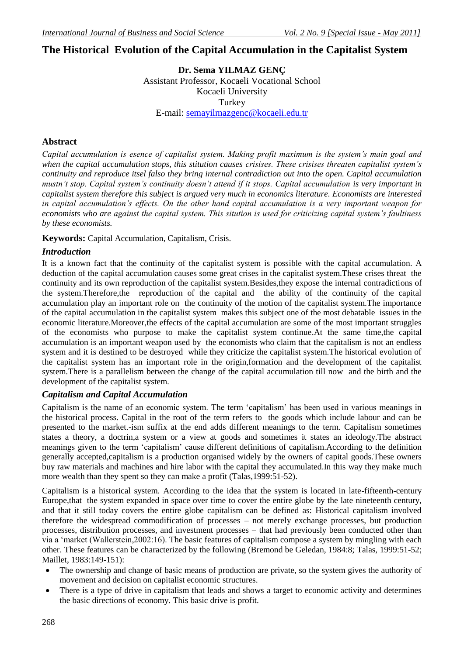# **The Historical Evolution of the Capital Accumulation in the Capitalist System**

**Dr. Sema YILMAZ GENÇ** Assistant Professor, Kocaeli Vocational School Kocaeli University Turkey E-mail: [semayilmazgenc@kocaeli.edu.tr](mailto:semayilmazgenc@kocaeli.edu.tr)

### **Abstract**

*Capital accumulation is esence of capitalist system. Making profit maximum is the system's main goal and when the capital accumulation stops, this stitution causes crisises. These crisises threaten capitalist system's continuity and reproduce itsel falso they bring internal contradiction out into the open. Capital accumulation mustn't stop. Capital system's continuity doesn't attend if it stops. Capital accumulation is very important in capitalist system therefore this subject is argued very much in economics literature. Economists are interested in capital accumulation's effects. On the other hand capital accumulation is a very important weapon for economists who are against the capital system. This sitution is used for criticizing capital system's faultiness by these economists.*

**Keywords:** Capital Accumulation, Capitalism, Crisis.

### *Introduction*

It is a known fact that the continuity of the capitalist system is possible with the capital accumulation. A deduction of the capital accumulation causes some great crises in the capitalist system.These crises threat the continuity and its own reproduction of the capitalist system.Besides,they expose the internal contradictions of the system.Therefore,the reproduction of the capital and the ability of the continuity of the capital accumulation play an important role on the continuity of the motion of the capitalist system.The importance of the capital accumulation in the capitalist system makes this subject one of the most debatable issues in the economic literature.Moreover,the effects of the capital accumulation are some of the most important struggles of the economists who purpose to make the capitalist system continue.At the same time,the capital accumulation is an important weapon used by the economists who claim that the capitalism is not an endless system and it is destined to be destroyed while they criticize the capitalist system.The historical evolution of the capitalist system has an important role in the origin,formation and the development of the capitalist system.There is a parallelism between the change of the capital accumulation till now and the birth and the development of the capitalist system.

### *Capitalism and Capital Accumulation*

Capitalism is the name of an economic system. The term "capitalism" has been used in various meanings in the historical process. Capital in the root of the term refers to the goods which include labour and can be presented to the market.-ism suffix at the end adds different meanings to the term. Capitalism sometimes states a theory, a doctrin,a system or a view at goods and sometimes it states an ideology.The abstract meanings given to the term "capitalism" cause different definitions of capitalism.According to the definition generally accepted,capitalism is a production organised widely by the owners of capital goods.These owners buy raw materials and machines and hire labor with the capital they accumulated.In this way they make much more wealth than they spent so they can make a profit (Talas,1999:51-52).

Capitalism is a historical system. According to the idea that the system is located in late-fifteenth-century Europe,that the system expanded in space over time to cover the entire globe by the late nineteenth century, and that it still today covers the entire globe capitalism can be defined as: Historical capitalism involved therefore the widespread commodification of processes – not merely exchange processes, but production processes, distribution processes, and investment processes – that had previously been conducted other than via a "market (Wallerstein,2002:16). The basic features of capitalism compose a system by mingling with each other. These features can be characterized by the following (Bremond be Geledan, 1984:8; Talas, 1999:51-52; Maillet, 1983:149-151):

- The ownership and change of basic means of production are private, so the system gives the authority of movement and decision on capitalist economic structures.
- There is a type of drive in capitalism that leads and shows a target to economic activity and determines the basic directions of economy. This basic drive is profit.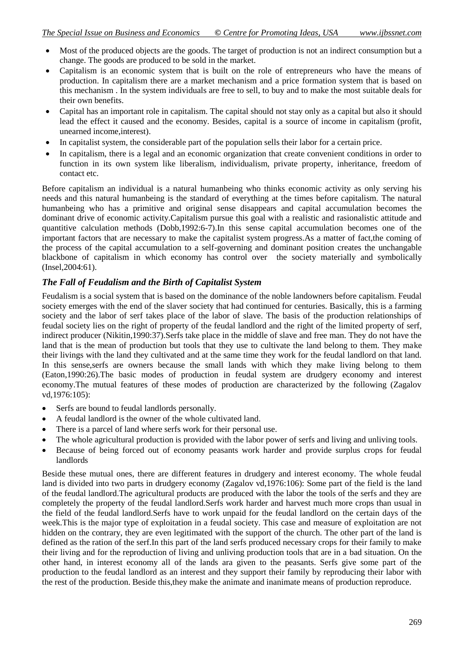- Most of the produced objects are the goods. The target of production is not an indirect consumption but a change. The goods are produced to be sold in the market.
- Capitalism is an economic system that is built on the role of entrepreneurs who have the means of production. In capitalism there are a market mechanism and a price formation system that is based on this mechanism . In the system individuals are free to sell, to buy and to make the most suitable deals for their own benefits.
- Capital has an important role in capitalism. The capital should not stay only as a capital but also it should lead the effect it caused and the economy. Besides, capital is a source of income in capitalism (profit, unearned income,interest).
- In capitalist system, the considerable part of the population sells their labor for a certain price.
- In capitalism, there is a legal and an economic organization that create convenient conditions in order to function in its own system like liberalism, individualism, private property, inheritance, freedom of contact etc.

Before capitalism an individual is a natural humanbeing who thinks economic activity as only serving his needs and this natural humanbeing is the standard of everything at the times before capitalism. The natural humanbeing who has a primitive and original sense disappears and capital accumulation becomes the dominant drive of economic activity.Capitalism pursue this goal with a realistic and rasionalistic attitude and quantitive calculation methods (Dobb,1992:6-7).In this sense capital accumulation becomes one of the important factors that are necessary to make the capitalist system progress.As a matter of fact,the coming of the process of the capital accumulation to a self-governing and dominant position creates the unchangable blackbone of capitalism in which economy has control over the society materially and symbolically (Insel,2004:61).

## *The Fall of Feudalism and the Birth of Capitalist System*

Feudalism is a social system that is based on the dominance of the noble landowners before capitalism. Feudal society emerges with the end of the slaver society that had continued for centuries. Basically, this is a farming society and the labor of serf takes place of the labor of slave. The basis of the production relationships of feudal society lies on the right of property of the feudal landlord and the right of the limited property of serf, indirect producer (Nikitin,1990:37).Serfs take place in the middle of slave and free man. They do not have the land that is the mean of production but tools that they use to cultivate the land belong to them. They make their livings with the land they cultivated and at the same time they work for the feudal landlord on that land. In this sense,serfs are owners because the small lands with which they make living belong to them (Eaton,1990:26).The basic modes of production in feudal system are drudgery economy and interest economy.The mutual features of these modes of production are characterized by the following (Zagalov vd,1976:105):

- Serfs are bound to feudal landlords personally.
- A feudal landlord is the owner of the whole cultivated land.
- There is a parcel of land where serfs work for their personal use.
- The whole agricultural production is provided with the labor power of serfs and living and unliving tools.
- Because of being forced out of economy peasants work harder and provide surplus crops for feudal landlords

Beside these mutual ones, there are different features in drudgery and interest economy. The whole feudal land is divided into two parts in drudgery economy (Zagalov vd,1976:106): Some part of the field is the land of the feudal landlord.The agricultural products are produced with the labor the tools of the serfs and they are completely the property of the feudal landlord.Serfs work harder and harvest much more crops than usual in the field of the feudal landlord.Serfs have to work unpaid for the feudal landlord on the certain days of the week.This is the major type of exploitation in a feudal society. This case and measure of exploitation are not hidden on the contrary, they are even legitimated with the support of the church. The other part of the land is defined as the ration of the serf.In this part of the land serfs produced necessary crops for their family to make their living and for the reproduction of living and unliving production tools that are in a bad situation. On the other hand, in interest economy all of the lands ara given to the peasants. Serfs give some part of the production to the feudal landlord as an interest and they support their family by reproducing their labor with the rest of the production. Beside this,they make the animate and inanimate means of production reproduce.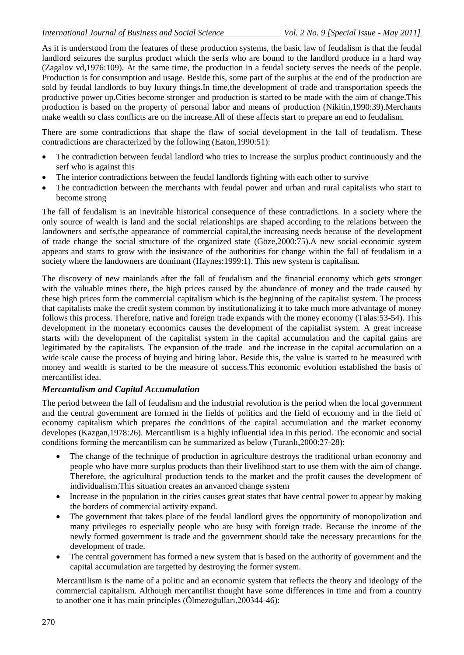As it is understood from the features of these production systems, the basic law of feudalism is that the feudal landlord seizures the surplus product which the serfs who are bound to the landlord produce in a hard way (Zagalov vd,1976:109). At the same time, the production in a feudal society serves the needs of the people. Production is for consumption and usage. Beside this, some part of the surplus at the end of the production are sold by feudal landlords to buy luxury things.In time,the development of trade and transportation speeds the productive power up.Cities become stronger and production is started to be made with the aim of change.This production is based on the property of personal labor and means of production (Nikitin,1990:39).Merchants make wealth so class conflicts are on the increase.All of these affects start to prepare an end to feudalism.

There are some contradictions that shape the flaw of social development in the fall of feudalism. These contradictions are characterized by the following (Eaton,1990:51):

- The contradiction between feudal landlord who tries to increase the surplus product continuously and the serf who is against this
- The interior contradictions between the feudal landlords fighting with each other to survive
- The contradiction between the merchants with feudal power and urban and rural capitalists who start to become strong

The fall of feudalism is an inevitable historical consequence of these contradictions. In a society where the only source of wealth is land and the social relationships are shaped according to the relations between the landowners and serfs,the appearance of commercial capital,the increasing needs because of the development of trade change the social structure of the organized state (Göze,2000:75).A new social-economic system appears and starts to grow with the insistance of the authorities for change within the fall of feudalism in a society where the landowners are dominant (Haynes:1999:1). This new system is capitalism.

The discovery of new mainlands after the fall of feudalism and the financial economy which gets stronger with the valuable mines there, the high prices caused by the abundance of money and the trade caused by these high prices form the commercial capitalism which is the beginning of the capitalist system. The process that capitalists make the credit system common by institutionalizing it to take much more advantage of money follows this process. Therefore, native and foreign trade expands with the money economy (Talas:53-54). This development in the monetary economics causes the development of the capitalist system. A great increase starts with the development of the capitalist system in the capital accumulation and the capital gains are legitimated by the capitalists. The expansion of the trade and the increase in the capital accumulation on a wide scale cause the process of buying and hiring labor. Beside this, the value is started to be measured with money and wealth is started to be the measure of success.This economic evolution established the basis of mercantilist idea.

### *Mercantalism and Capital Accumulation*

The period between the fall of feudalism and the industrial revolution is the period when the local government and the central government are formed in the fields of politics and the field of economy and in the field of economy capitalism which prepares the conditions of the capital accumulation and the market economy developes (Kazgan,1978:26). Mercantilism is a highly influential idea in this period. The economic and social conditions forming the mercantilism can be summarized as below (Turanlı,2000:27-28):

- The change of the technique of production in agriculture destroys the traditional urban economy and people who have more surplus products than their livelihood start to use them with the aim of change. Therefore, the agricultural production tends to the market and the profit causes the development of individualism.This situation creates an anvanced change system
- Increase in the population in the cities causes great states that have central power to appear by making the borders of commercial activity expand.
- The government that takes place of the feudal landlord gives the opportunity of monopolization and many privileges to especially people who are busy with foreign trade. Because the income of the newly formed government is trade and the government should take the necessary precautions for the development of trade.
- The central government has formed a new system that is based on the authority of government and the capital accumulation are targetted by destroying the former system.

Mercantilism is the name of a politic and an economic system that reflects the theory and ideology of the commercial capitalism. Although mercantilist thought have some differences in time and from a country to another one it has main principles (Ölmezoğulları,200344-46):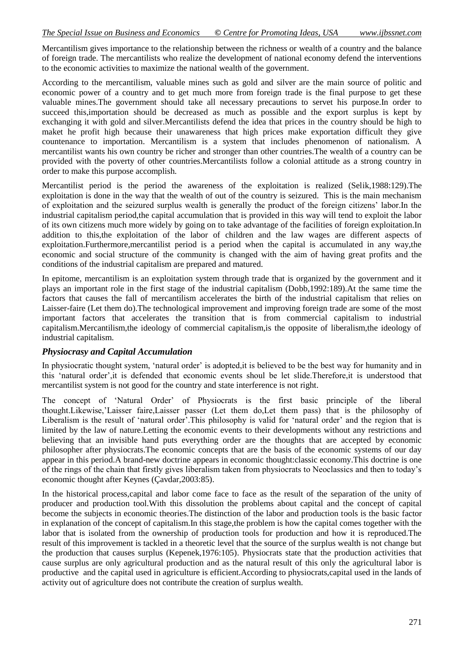Mercantilism gives importance to the relationship between the richness or wealth of a country and the balance of foreign trade. The mercantilists who realize the development of national economy defend the interventions to the economic activities to maximize the national wealth of the government.

According to the mercantilism, valuable mines such as gold and silver are the main source of politic and economic power of a country and to get much more from foreign trade is the final purpose to get these valuable mines.The government should take all necessary precautions to servet his purpose.In order to succeed this,importation should be decreased as much as possible and the export surplus is kept by exchanging it with gold and silver.Mercantilists defend the idea that prices in the country should be high to maket he profit high because their unawareness that high prices make exportation difficult they give countenance to importation. Mercantilism is a system that includes phenomenon of nationalism. A mercantilist wants his own country be richer and stronger than other countries.The wealth of a country can be provided with the poverty of other countries.Mercantilists follow a colonial attitude as a strong country in order to make this purpose accomplish.

Mercantilist period is the period the awareness of the exploitation is realized (Selik,1988:129).The exploitation is done in the way that the wealth of out of the country is seizured. This is the main mechanism of exploitation and the seizured surplus wealth is generally the product of the foreign citizens" labor.In the industrial capitalism period,the capital accumulation that is provided in this way will tend to exploit the labor of its own citizens much more widely by going on to take advantage of the facilities of foreign exploitation.In addition to this,the exploitation of the labor of children and the law wages are different aspects of exploitation.Furthermore,mercantilist period is a period when the capital is accumulated in any way,the economic and social structure of the community is changed with the aim of having great profits and the conditions of the industrial capitalism are prepared and matured.

In epitome, mercantilism is an exploitation system through trade that is organized by the government and it plays an important role in the first stage of the industrial capitalism (Dobb,1992:189).At the same time the factors that causes the fall of mercantilism accelerates the birth of the industrial capitalism that relies on Laisser-faire (Let them do).The technological improvement and improving foreign trade are some of the most important factors that accelerates the transition that is from commercial capitalism to industrial capitalism.Mercantilism,the ideology of commercial capitalism,is the opposite of liberalism,the ideology of industrial capitalism.

### *Physiocrasy and Capital Accumulation*

In physiocratic thought system, 'natural order' is adopted, it is believed to be the best way for humanity and in this "natural order",it is defended that economic events shoul be let slide.Therefore,it is understood that mercantilist system is not good for the country and state interference is not right.

The concept of "Natural Order" of Physiocrats is the first basic principle of the liberal thought.Likewise,"Laisser faire,Laisser passer (Let them do,Let them pass) that is the philosophy of Liberalism is the result of 'natural order'.This philosophy is valid for 'natural order' and the region that is limited by the law of nature.Letting the economic events to their developments without any restrictions and believing that an invisible hand puts everything order are the thoughts that are accepted by economic philosopher after physiocrats.The economic concepts that are the basis of the economic systems of our day appear in this period.A brand-new doctrine appears in economic thought:classic economy.This doctrine is one of the rings of the chain that firstly gives liberalism taken from physiocrats to Neoclassics and then to today"s economic thought after Keynes (Çavdar,2003:85).

In the historical process,capital and labor come face to face as the result of the separation of the unity of producer and production tool.With this dissolution the problems about capital and the concept of capital become the subjects in economic theories.The distinction of the labor and production tools is the basic factor in explanation of the concept of capitalism.In this stage,the problem is how the capital comes together with the labor that is isolated from the ownership of production tools for production and how it is reproduced.The result of this improvement is tackled in a theoretic level that the source of the surplus wealth is not change but the production that causes surplus (Kepenek,1976:105). Physiocrats state that the production activities that cause surplus are only agricultural production and as the natural result of this only the agricultural labor is productive and the capital used in agriculture is efficient.According to physiocrats,capital used in the lands of activity out of agriculture does not contribute the creation of surplus wealth.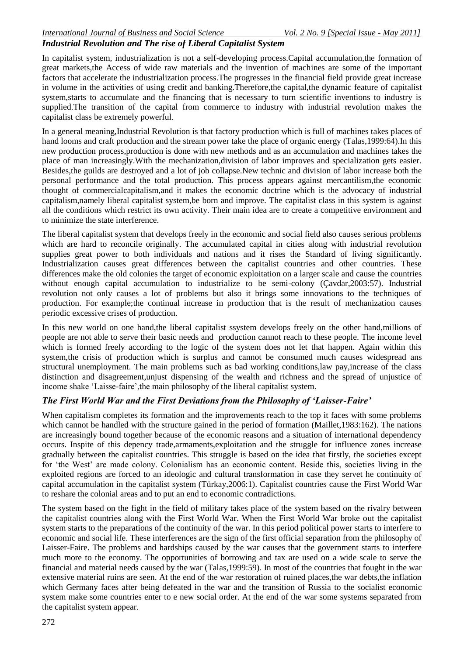### *Industrial Revolution and The rise of Liberal Capitalist System*

In capitalist system, industrialization is not a self-developing process.Capital accumulation,the formation of great markets,the Access of wide raw materials and the invention of machines are some of the important factors that accelerate the industrialization process.The progresses in the financial field provide great increase in volume in the activities of using credit and banking.Therefore,the capital,the dynamic feature of capitalist system,starts to accumulate and the financing that is necessary to turn scientific inventions to industry is supplied.The transition of the capital from commerce to industry with industrial revolution makes the capitalist class be extremely powerful.

In a general meaning,Industrial Revolution is that factory production which is full of machines takes places of hand looms and craft production and the stream power take the place of organic energy (Talas,1999:64).In this new production process,production is done with new methods and as an accumulation and machines takes the place of man increasingly.With the mechanization,division of labor improves and specialization gets easier. Besides,the guilds are destroyed and a lot of job collapse.New technic and division of labor increase both the personal performance and the total production. This process appears against mercantilism,the economic thought of commercialcapitalism,and it makes the economic doctrine which is the advocacy of industrial capitalism,namely liberal capitalist system,be born and improve. The capitalist class in this system is against all the conditions which restrict its own activity. Their main idea are to create a competitive environment and to minimize the state interference.

The liberal capitalist system that develops freely in the economic and social field also causes serious problems which are hard to reconcile originally. The accumulated capital in cities along with industrial revolution supplies great power to both individuals and nations and it rises the Standard of living significantly. Industrialization causes great differences between the capitalist countries and other countries. These differences make the old colonies the target of economic exploitation on a larger scale and cause the countries without enough capital accumulation to industrialize to be semi-colony (Çavdar,2003:57). Industrial revolution not only causes a lot of problems but also it brings some innovations to the techniques of production. For example;the continual increase in production that is the result of mechanization causes periodic excessive crises of production.

In this new world on one hand,the liberal capitalist ssystem develops freely on the other hand,millions of people are not able to serve their basic needs and production cannot reach to these people. The income level which is formed freely according to the logic of the system does not let that happen. Again within this system,the crisis of production which is surplus and cannot be consumed much causes widespread ans structural unemployment. The main problems such as bad working conditions,law pay,increase of the class distinction and disagreement,unjust dispensing of the wealth and richness and the spread of unjustice of income shake "Laisse-faire",the main philosophy of the liberal capitalist system.

### *The First World War and the First Deviations from the Philosophy of 'Laisser-Faire'*

When capitalism completes its formation and the improvements reach to the top it faces with some problems which cannot be handled with the structure gained in the period of formation (Maillet,1983:162). The nations are increasingly bound together because of the economic reasons and a situation of international dependency occurs. Inspite of this depency trade,armaments,exploitation and the struggle for influence zones increase gradually between the capitalist countries. This struggle is based on the idea that firstly, the societies except for "the West" are made colony. Colonialism has an economic content. Beside this, societies living in the exploited regions are forced to an ideologic and cultural transformation in case they servet he continuity of capital accumulation in the capitalist system (Türkay,2006:1). Capitalist countries cause the First World War to reshare the colonial areas and to put an end to economic contradictions.

The system based on the fight in the field of military takes place of the system based on the rivalry between the capitalist countries along with the First World War. When the First World War broke out the capitalist system starts to the preparations of the continuity of the war. In this period political power starts to interfere to economic and social life. These interferences are the sign of the first official separation from the philosophy of Laisser-Faire. The problems and hardships caused by the war causes that the government starts to interfere much more to the economy. The opportunities of borrowing and tax are used on a wide scale to serve the financial and material needs caused by the war (Talas,1999:59). In most of the countries that fought in the war extensive material ruins are seen. At the end of the war restoration of ruined places,the war debts,the inflation which Germany faces after being defeated in the war and the transition of Russia to the socialist economic system make some countries enter to e new social order. At the end of the war some systems separated from the capitalist system appear.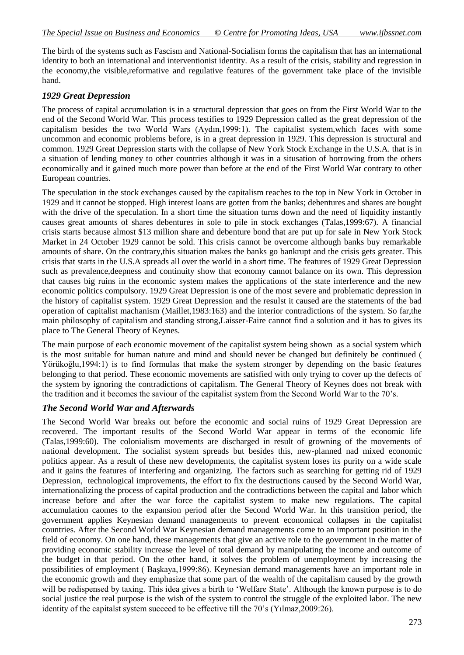The birth of the systems such as Fascism and National-Socialism forms the capitalism that has an international identity to both an international and interventionist identity. As a result of the crisis, stability and regression in the economy,the visible,reformative and regulative features of the government take place of the invisible hand.

### *1929 Great Depression*

The process of capital accumulation is in a structural depression that goes on from the First World War to the end of the Second World War. This process testifies to 1929 Depression called as the great depression of the capitalism besides the two World Wars (Aydın,1999:1). The capitalist system,which faces with some uncommon and economic problems before, is in a great depression in 1929. This depression is structural and common. 1929 Great Depression starts with the collapse of New York Stock Exchange in the U.S.A. that is in a situation of lending money to other countries although it was in a situsation of borrowing from the others economically and it gained much more power than before at the end of the First World War contrary to other European countries.

The speculation in the stock exchanges caused by the capitalism reaches to the top in New York in October in 1929 and it cannot be stopped. High interest loans are gotten from the banks; debentures and shares are bought with the drive of the speculation. In a short time the situation turns down and the need of liquidity instantly causes great amounts of shares debentures in sole to pile in stock exchanges (Talas,1999:67). A financial crisis starts because almost \$13 million share and debenture bond that are put up for sale in New York Stock Market in 24 October 1929 cannot be sold. This crisis cannot be overcome although banks buy remarkable amounts of share. On the contrary,this situation makes the banks go bankrupt and the crisis gets greater. This crisis that starts in the U.S.A spreads all over the world in a short time. The features of 1929 Great Depression such as prevalence,deepness and continuity show that economy cannot balance on its own. This depression that causes big ruins in the economic system makes the applications of the state interference and the new economic politics compulsory. 1929 Great Depression is one of the most severe and problematic depression in the history of capitalist system. 1929 Great Depression and the resulst it caused are the statements of the bad operation of capitalist machanism (Maillet,1983:163) and the interior contradictions of the system. So far,the main philosophy of capitalism and standing strong,Laisser-Faire cannot find a solution and it has to gives its place to The General Theory of Keynes.

The main purpose of each economic movement of the capitalist system being shown as a social system which is the most suitable for human nature and mind and should never be changed but definitely be continued ( Yörükoğlu,1994:1) is to find formulas that make the system stronger by depending on the basic features belonging to that period. These economic movements are satisfied with only trying to cover up the defects of the system by ignoring the contradictions of capitalism. The General Theory of Keynes does not break with the tradition and it becomes the saviour of the capitalist system from the Second World War to the 70"s.

### *The Second World War and Afterwards*

The Second World War breaks out before the economic and social ruins of 1929 Great Depression are recovered. The important results of the Second World War appear in terms of the economic life (Talas,1999:60). The colonialism movements are discharged in result of growning of the movements of national development. The socialist system spreads but besides this, new-planned nad mixed economic politics appear. As a result of these new developments, the capitalist system loses its purity on a wide scale and it gains the features of interfering and organizing. The factors such as searching for getting rid of 1929 Depression, technological improvements, the effort to fix the destructions caused by the Second World War, internationalizing the process of capital production and the contradictions between the capital and labor which increase before and after the war force the capitalist system to make new regulations. The capital accumulation caomes to the expansion period after the Second World War. In this transition period, the government applies Keynesian demand managements to prevent economical collapses in the capitalist countries. After the Second World War Keynesian demand managements come to an important position in the field of economy. On one hand, these managements that give an active role to the government in the matter of providing economic stability increase the level of total demand by manipulating the income and outcome of the budget in that period. On the other hand, it solves the problem of unemployment by increasing the possibilities of employment (Baskaya,1999:86). Keynesian demand managements have an important role in the economic growth and they emphasize that some part of the wealth of the capitalism caused by the growth will be redispensed by taxing. This idea gives a birth to 'Welfare State'. Although the known purpose is to do social justice the real purpose is the wish of the system to control the struggle of the exploited labor. The new identity of the capitalst system succeed to be effective till the 70"s (Yılmaz,2009:26).